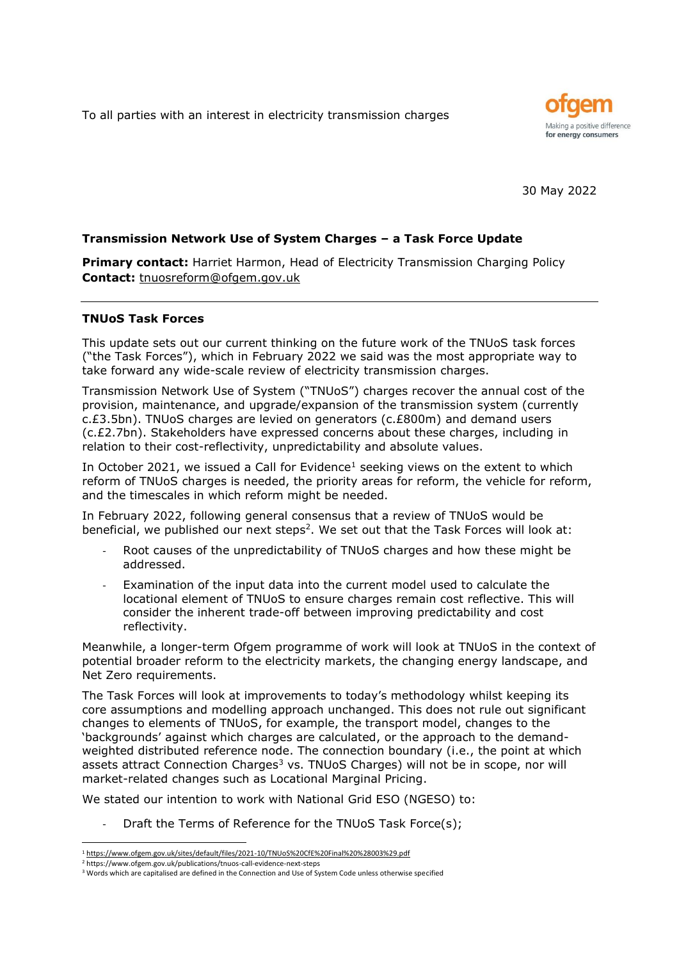To all parties with an interest in electricity transmission charges



30 May 2022

# **Transmission Network Use of System Charges – a Task Force Update**

**Primary contact:** Harriet Harmon, Head of Electricity Transmission Charging Policy **Contact:** [tnuosreform@ofgem.gov.uk](mailto:tnuosreform@ofgem.gov.uk)

#### **TNUoS Task Forces**

This update sets out our current thinking on the future work of the TNUoS task forces ("the Task Forces"), which in February 2022 we said was the most appropriate way to take forward any wide-scale review of electricity transmission charges.

Transmission Network Use of System ("TNUoS") charges recover the annual cost of the provision, maintenance, and upgrade/expansion of the transmission system (currently c.£3.5bn). TNUoS charges are levied on generators (c.£800m) and demand users (c.£2.7bn). Stakeholders have expressed concerns about these charges, including in relation to their cost-reflectivity, unpredictability and absolute values.

In October 2021, we issued a Call for Evidence<sup>1</sup> seeking views on the extent to which reform of TNUoS charges is needed, the priority areas for reform, the vehicle for reform, and the timescales in which reform might be needed.

In February 2022, following general consensus that a review of TNUoS would be beneficial, we published our next steps<sup>2</sup>. We set out that the Task Forces will look at:

- Root causes of the unpredictability of TNUoS charges and how these might be addressed.
- Examination of the input data into the current model used to calculate the locational element of TNUoS to ensure charges remain cost reflective. This will consider the inherent trade-off between improving predictability and cost reflectivity.

Meanwhile, a longer-term Ofgem programme of work will look at TNUoS in the context of potential broader reform to the electricity markets, the changing energy landscape, and Net Zero requirements.

The Task Forces will look at improvements to today's methodology whilst keeping its core assumptions and modelling approach unchanged. This does not rule out significant changes to elements of TNUoS, for example, the transport model, changes to the 'backgrounds' against which charges are calculated, or the approach to the demandweighted distributed reference node. The connection boundary (i.e., the point at which assets attract Connection Charges<sup>3</sup> vs. TNUoS Charges) will not be in scope, nor will market-related changes such as Locational Marginal Pricing.

We stated our intention to work with National Grid ESO (NGESO) to:

Draft the Terms of Reference for the TNUoS Task Force(s);

<sup>1</sup> <https://www.ofgem.gov.uk/sites/default/files/2021-10/TNUoS%20CfE%20Final%20%28003%29.pdf>

<sup>2</sup> <https://www.ofgem.gov.uk/publications/tnuos-call-evidence-next-steps>

<sup>3</sup> Words which are capitalised are defined in the Connection and Use of System Code unless otherwise specified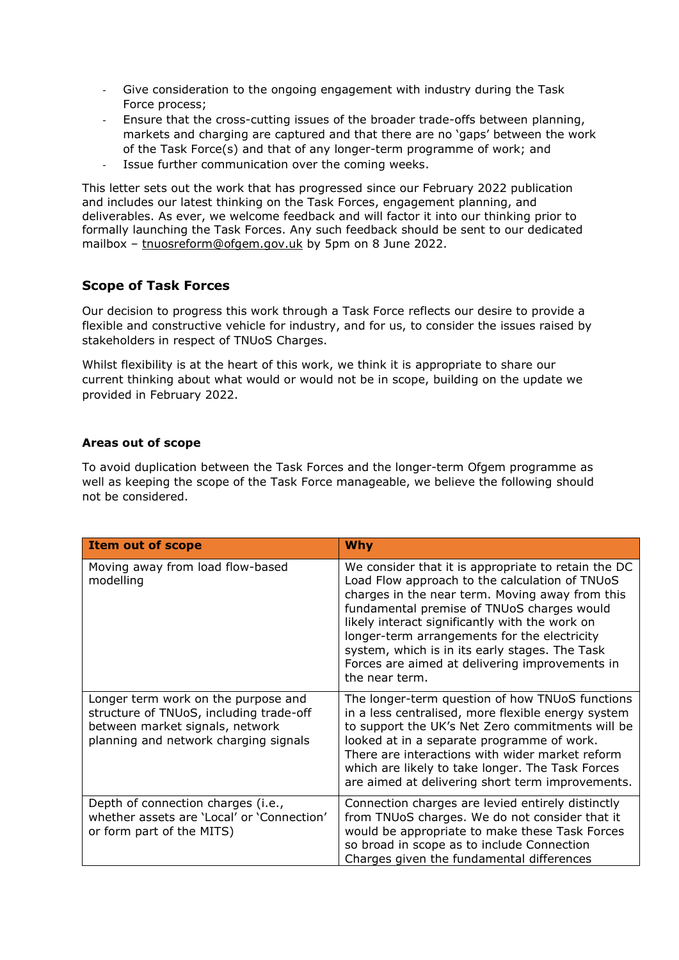- Give consideration to the ongoing engagement with industry during the Task Force process;
- Ensure that the cross-cutting issues of the broader trade-offs between planning, markets and charging are captured and that there are no 'gaps' between the work of the Task Force(s) and that of any longer-term programme of work; and
- Issue further communication over the coming weeks.

This letter sets out the work that has progressed since our February 2022 publication and includes our latest thinking on the Task Forces, engagement planning, and deliverables. As ever, we welcome feedback and will factor it into our thinking prior to formally launching the Task Forces. Any such feedback should be sent to our dedicated mailbox - [tnuosreform@ofgem.gov.uk](mailto:tnuosreform@ofgem.gov.uk) by 5pm on 8 June 2022.

# **Scope of Task Forces**

Our decision to progress this work through a Task Force reflects our desire to provide a flexible and constructive vehicle for industry, and for us, to consider the issues raised by stakeholders in respect of TNUoS Charges.

Whilst flexibility is at the heart of this work, we think it is appropriate to share our current thinking about what would or would not be in scope, building on the update we provided in February 2022.

# **Areas out of scope**

To avoid duplication between the Task Forces and the longer-term Ofgem programme as well as keeping the scope of the Task Force manageable, we believe the following should not be considered.

| <b>Item out of scope</b>                                                                                                                                   | <b>Why</b>                                                                                                                                                                                                                                                                                                                                                                                                                     |
|------------------------------------------------------------------------------------------------------------------------------------------------------------|--------------------------------------------------------------------------------------------------------------------------------------------------------------------------------------------------------------------------------------------------------------------------------------------------------------------------------------------------------------------------------------------------------------------------------|
| Moving away from load flow-based<br>modelling                                                                                                              | We consider that it is appropriate to retain the DC<br>Load Flow approach to the calculation of TNUoS<br>charges in the near term. Moving away from this<br>fundamental premise of TNUoS charges would<br>likely interact significantly with the work on<br>longer-term arrangements for the electricity<br>system, which is in its early stages. The Task<br>Forces are aimed at delivering improvements in<br>the near term. |
| Longer term work on the purpose and<br>structure of TNUoS, including trade-off<br>between market signals, network<br>planning and network charging signals | The longer-term question of how TNUoS functions<br>in a less centralised, more flexible energy system<br>to support the UK's Net Zero commitments will be<br>looked at in a separate programme of work.<br>There are interactions with wider market reform<br>which are likely to take longer. The Task Forces<br>are aimed at delivering short term improvements.                                                             |
| Depth of connection charges (i.e.,<br>whether assets are 'Local' or 'Connection'<br>or form part of the MITS)                                              | Connection charges are levied entirely distinctly<br>from TNUoS charges. We do not consider that it<br>would be appropriate to make these Task Forces<br>so broad in scope as to include Connection<br>Charges given the fundamental differences                                                                                                                                                                               |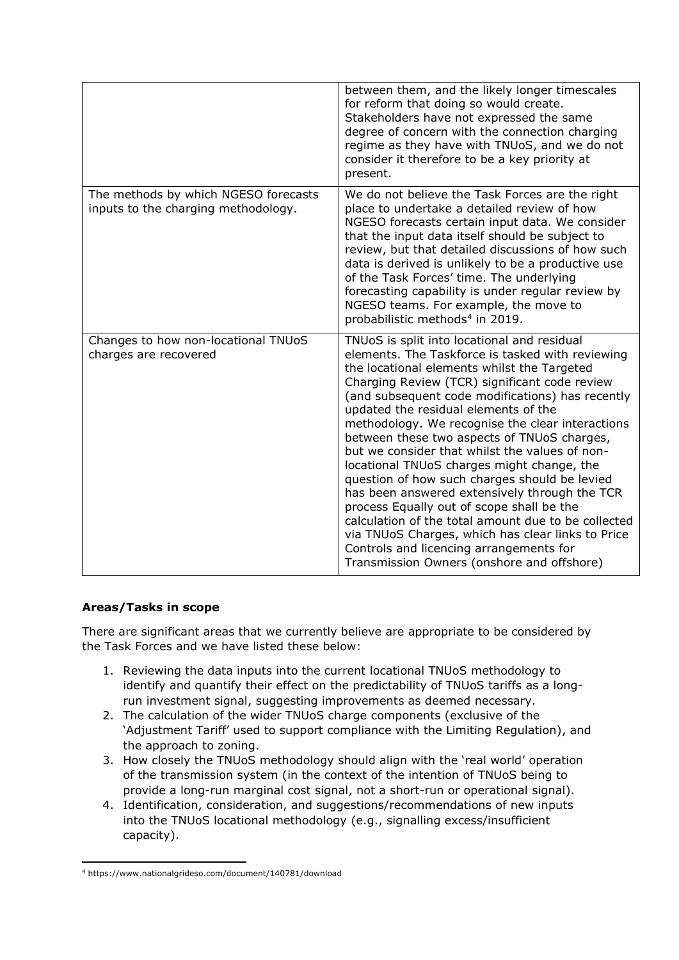|                                                                             | between them, and the likely longer timescales<br>for reform that doing so would create.<br>Stakeholders have not expressed the same<br>degree of concern with the connection charging<br>regime as they have with TNUoS, and we do not<br>consider it therefore to be a key priority at<br>present.                                                                                                                                                                                                                                                                                                                                                                                                                                                                                                                                               |
|-----------------------------------------------------------------------------|----------------------------------------------------------------------------------------------------------------------------------------------------------------------------------------------------------------------------------------------------------------------------------------------------------------------------------------------------------------------------------------------------------------------------------------------------------------------------------------------------------------------------------------------------------------------------------------------------------------------------------------------------------------------------------------------------------------------------------------------------------------------------------------------------------------------------------------------------|
| The methods by which NGESO forecasts<br>inputs to the charging methodology. | We do not believe the Task Forces are the right<br>place to undertake a detailed review of how<br>NGESO forecasts certain input data. We consider<br>that the input data itself should be subject to<br>review, but that detailed discussions of how such<br>data is derived is unlikely to be a productive use<br>of the Task Forces' time. The underlying<br>forecasting capability is under regular review by<br>NGESO teams. For example, the move to<br>probabilistic methods <sup>4</sup> in 2019.                                                                                                                                                                                                                                                                                                                                           |
| Changes to how non-locational TNUoS<br>charges are recovered                | TNUoS is split into locational and residual<br>elements. The Taskforce is tasked with reviewing<br>the locational elements whilst the Targeted<br>Charging Review (TCR) significant code review<br>(and subsequent code modifications) has recently<br>updated the residual elements of the<br>methodology. We recognise the clear interactions<br>between these two aspects of TNUoS charges,<br>but we consider that whilst the values of non-<br>locational TNUoS charges might change, the<br>question of how such charges should be levied<br>has been answered extensively through the TCR<br>process Equally out of scope shall be the<br>calculation of the total amount due to be collected<br>via TNUoS Charges, which has clear links to Price<br>Controls and licencing arrangements for<br>Transmission Owners (onshore and offshore) |

# **Areas/Tasks in scope**

There are significant areas that we currently believe are appropriate to be considered by the Task Forces and we have listed these below:

- 1. Reviewing the data inputs into the current locational TNUoS methodology to identify and quantify their effect on the predictability of TNUoS tariffs as a longrun investment signal, suggesting improvements as deemed necessary.
- 2. The calculation of the wider TNUoS charge components (exclusive of the 'Adjustment Tariff' used to support compliance with the Limiting Regulation), and the approach to zoning.
- 3. How closely the TNUoS methodology should align with the 'real world' operation of the transmission system (in the context of the intention of TNUoS being to provide a long-run marginal cost signal, not a short-run or operational signal).
- 4. Identification, consideration, and suggestions/recommendations of new inputs into the TNUoS locational methodology (e.g., signalling excess/insufficient capacity).

<sup>4</sup> https://www.nationalgrideso.com/document/140781/download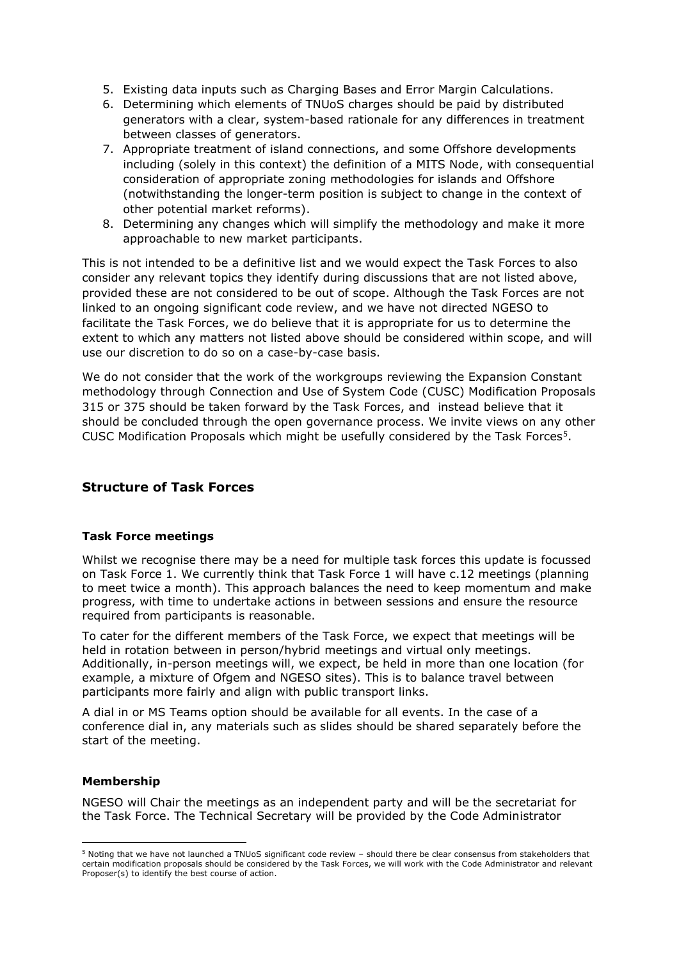- 5. Existing data inputs such as Charging Bases and Error Margin Calculations.
- 6. Determining which elements of TNUoS charges should be paid by distributed generators with a clear, system-based rationale for any differences in treatment between classes of generators.
- 7. Appropriate treatment of island connections, and some Offshore developments including (solely in this context) the definition of a MITS Node, with consequential consideration of appropriate zoning methodologies for islands and Offshore (notwithstanding the longer-term position is subject to change in the context of other potential market reforms).
- 8. Determining any changes which will simplify the methodology and make it more approachable to new market participants.

This is not intended to be a definitive list and we would expect the Task Forces to also consider any relevant topics they identify during discussions that are not listed above, provided these are not considered to be out of scope. Although the Task Forces are not linked to an ongoing significant code review, and we have not directed NGESO to facilitate the Task Forces, we do believe that it is appropriate for us to determine the extent to which any matters not listed above should be considered within scope, and will use our discretion to do so on a case-by-case basis.

We do not consider that the work of the workgroups reviewing the Expansion Constant methodology through Connection and Use of System Code (CUSC) Modification Proposals 315 or 375 should be taken forward by the Task Forces, and instead believe that it should be concluded through the open governance process. We invite views on any other CUSC Modification Proposals which might be usefully considered by the Task Forces $5$ .

# **Structure of Task Forces**

#### **Task Force meetings**

Whilst we recognise there may be a need for multiple task forces this update is focussed on Task Force 1. We currently think that Task Force 1 will have c.12 meetings (planning to meet twice a month). This approach balances the need to keep momentum and make progress, with time to undertake actions in between sessions and ensure the resource required from participants is reasonable.

To cater for the different members of the Task Force, we expect that meetings will be held in rotation between in person/hybrid meetings and virtual only meetings. Additionally, in-person meetings will, we expect, be held in more than one location (for example, a mixture of Ofgem and NGESO sites). This is to balance travel between participants more fairly and align with public transport links.

A dial in or MS Teams option should be available for all events. In the case of a conference dial in, any materials such as slides should be shared separately before the start of the meeting.

#### **Membership**

NGESO will Chair the meetings as an independent party and will be the secretariat for the Task Force. The Technical Secretary will be provided by the Code Administrator

<sup>5</sup> Noting that we have not launched a TNUoS significant code review – should there be clear consensus from stakeholders that certain modification proposals should be considered by the Task Forces, we will work with the Code Administrator and relevant Proposer(s) to identify the best course of action.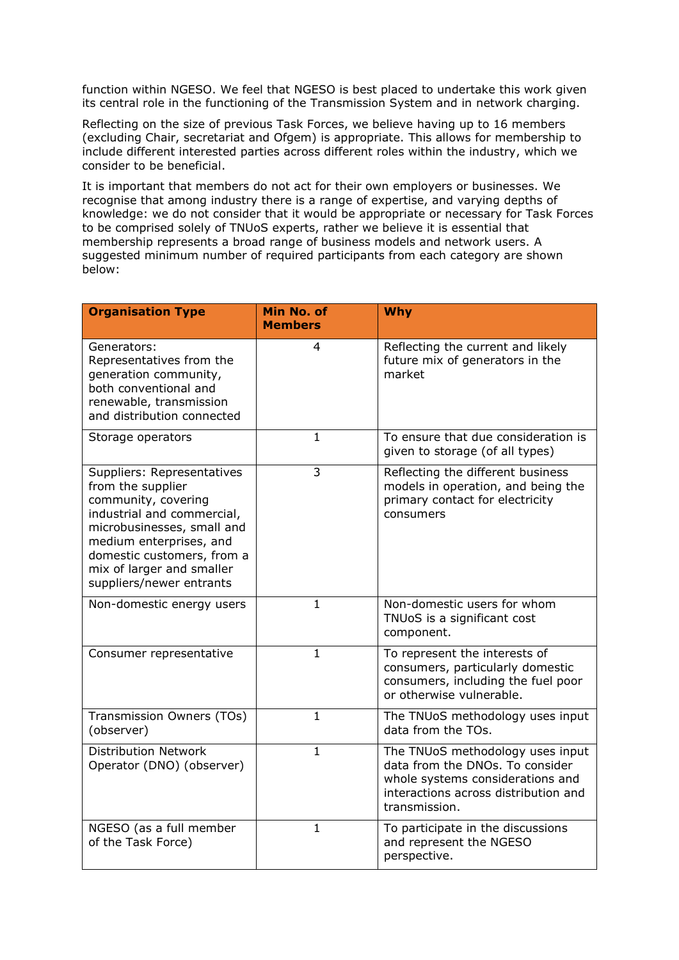function within NGESO. We feel that NGESO is best placed to undertake this work given its central role in the functioning of the Transmission System and in network charging.

Reflecting on the size of previous Task Forces, we believe having up to 16 members (excluding Chair, secretariat and Ofgem) is appropriate. This allows for membership to include different interested parties across different roles within the industry, which we consider to be beneficial.

It is important that members do not act for their own employers or businesses. We recognise that among industry there is a range of expertise, and varying depths of knowledge: we do not consider that it would be appropriate or necessary for Task Forces to be comprised solely of TNUoS experts, rather we believe it is essential that membership represents a broad range of business models and network users. A suggested minimum number of required participants from each category are shown below:

| <b>Organisation Type</b>                                                                                                                                                                                                                             | Min No. of<br><b>Members</b> | <b>Why</b>                                                                                                                                                       |
|------------------------------------------------------------------------------------------------------------------------------------------------------------------------------------------------------------------------------------------------------|------------------------------|------------------------------------------------------------------------------------------------------------------------------------------------------------------|
| Generators:<br>Representatives from the<br>generation community,<br>both conventional and<br>renewable, transmission<br>and distribution connected                                                                                                   | 4                            | Reflecting the current and likely<br>future mix of generators in the<br>market                                                                                   |
| Storage operators                                                                                                                                                                                                                                    | $\mathbf{1}$                 | To ensure that due consideration is<br>given to storage (of all types)                                                                                           |
| Suppliers: Representatives<br>from the supplier<br>community, covering<br>industrial and commercial,<br>microbusinesses, small and<br>medium enterprises, and<br>domestic customers, from a<br>mix of larger and smaller<br>suppliers/newer entrants | 3                            | Reflecting the different business<br>models in operation, and being the<br>primary contact for electricity<br>consumers                                          |
| Non-domestic energy users                                                                                                                                                                                                                            | $\mathbf{1}$                 | Non-domestic users for whom<br>TNUoS is a significant cost<br>component.                                                                                         |
| Consumer representative                                                                                                                                                                                                                              | 1                            | To represent the interests of<br>consumers, particularly domestic<br>consumers, including the fuel poor<br>or otherwise vulnerable.                              |
| Transmission Owners (TOs)<br>(observer)                                                                                                                                                                                                              | $\mathbf{1}$                 | The TNUoS methodology uses input<br>data from the TOs.                                                                                                           |
| <b>Distribution Network</b><br>Operator (DNO) (observer)                                                                                                                                                                                             | $\mathbf{1}$                 | The TNUoS methodology uses input<br>data from the DNOs. To consider<br>whole systems considerations and<br>interactions across distribution and<br>transmission. |
| NGESO (as a full member<br>of the Task Force)                                                                                                                                                                                                        | $\mathbf{1}$                 | To participate in the discussions<br>and represent the NGESO<br>perspective.                                                                                     |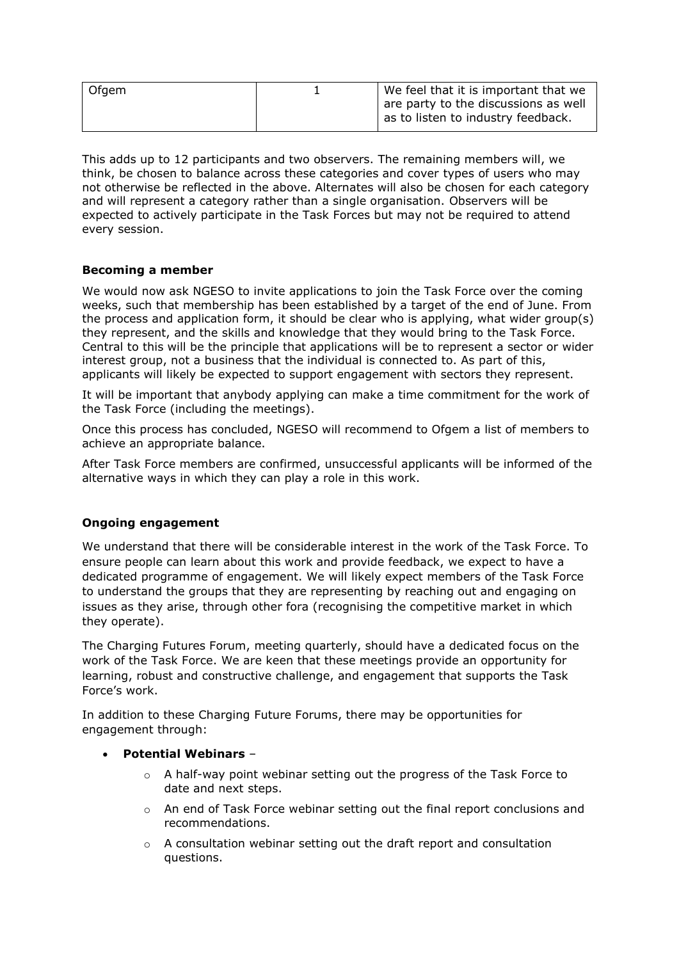| Ofgem | We feel that it is important that we                                       |
|-------|----------------------------------------------------------------------------|
|       | are party to the discussions as well<br>as to listen to industry feedback. |

This adds up to 12 participants and two observers. The remaining members will, we think, be chosen to balance across these categories and cover types of users who may not otherwise be reflected in the above. Alternates will also be chosen for each category and will represent a category rather than a single organisation. Observers will be expected to actively participate in the Task Forces but may not be required to attend every session.

# **Becoming a member**

We would now ask NGESO to invite applications to join the Task Force over the coming weeks, such that membership has been established by a target of the end of June. From the process and application form, it should be clear who is applying, what wider group(s) they represent, and the skills and knowledge that they would bring to the Task Force. Central to this will be the principle that applications will be to represent a sector or wider interest group, not a business that the individual is connected to. As part of this, applicants will likely be expected to support engagement with sectors they represent.

It will be important that anybody applying can make a time commitment for the work of the Task Force (including the meetings).

Once this process has concluded, NGESO will recommend to Ofgem a list of members to achieve an appropriate balance.

After Task Force members are confirmed, unsuccessful applicants will be informed of the alternative ways in which they can play a role in this work.

#### **Ongoing engagement**

We understand that there will be considerable interest in the work of the Task Force. To ensure people can learn about this work and provide feedback, we expect to have a dedicated programme of engagement. We will likely expect members of the Task Force to understand the groups that they are representing by reaching out and engaging on issues as they arise, through other fora (recognising the competitive market in which they operate).

The Charging Futures Forum, meeting quarterly, should have a dedicated focus on the work of the Task Force. We are keen that these meetings provide an opportunity for learning, robust and constructive challenge, and engagement that supports the Task Force's work.

In addition to these Charging Future Forums, there may be opportunities for engagement through:

#### • **Potential Webinars** –

- $\circ$  A half-way point webinar setting out the progress of the Task Force to date and next steps.
- $\circ$  An end of Task Force webinar setting out the final report conclusions and recommendations.
- $\circ$  A consultation webinar setting out the draft report and consultation questions.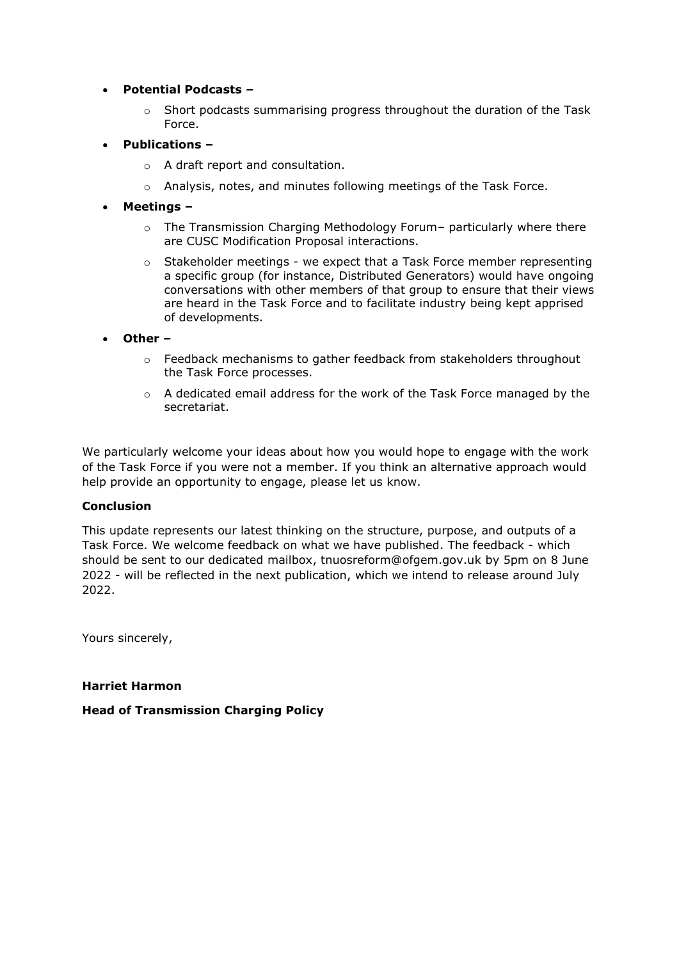# • **Potential Podcasts –**

- $\circ$  Short podcasts summarising progress throughout the duration of the Task Force.
- **Publications –**
	- o A draft report and consultation.
	- o Analysis, notes, and minutes following meetings of the Task Force.
- **Meetings –**
	- $\circ$  The Transmission Charging Methodology Forum– particularly where there are CUSC Modification Proposal interactions.
	- $\circ$  Stakeholder meetings we expect that a Task Force member representing a specific group (for instance, Distributed Generators) would have ongoing conversations with other members of that group to ensure that their views are heard in the Task Force and to facilitate industry being kept apprised of developments.
- **Other –**
	- $\circ$  Feedback mechanisms to gather feedback from stakeholders throughout the Task Force processes.
	- o A dedicated email address for the work of the Task Force managed by the secretariat.

We particularly welcome your ideas about how you would hope to engage with the work of the Task Force if you were not a member. If you think an alternative approach would help provide an opportunity to engage, please let us know.

#### **Conclusion**

This update represents our latest thinking on the structure, purpose, and outputs of a Task Force. We welcome feedback on what we have published. The feedback - which should be sent to our dedicated mailbox, [tnuosreform@ofgem.gov.uk](mailto:tnuosreform@ofgem.gov.uk) by 5pm on 8 June 2022 - will be reflected in the next publication, which we intend to release around July 2022.

Yours sincerely,

#### **Harriet Harmon**

#### **Head of Transmission Charging Policy**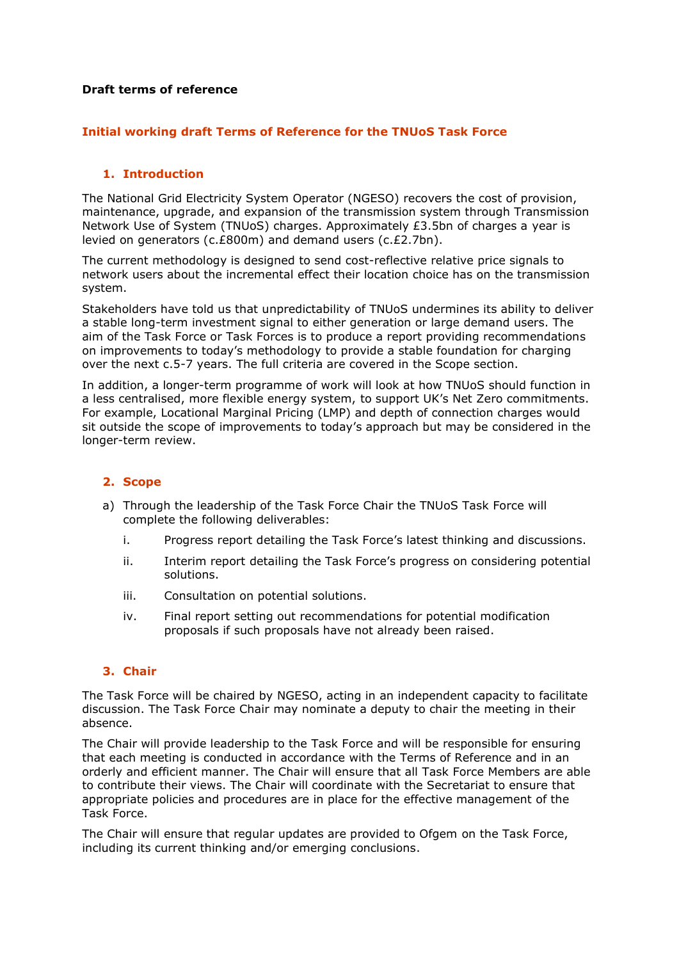#### **Draft terms of reference**

# **Initial working draft Terms of Reference for the TNUoS Task Force**

# **1. Introduction**

The National Grid Electricity System Operator (NGESO) recovers the cost of provision, maintenance, upgrade, and expansion of the transmission system through Transmission Network Use of System (TNUoS) charges. Approximately £3.5bn of charges a year is levied on generators (c.£800m) and demand users (c.£2.7bn).

The current methodology is designed to send cost-reflective relative price signals to network users about the incremental effect their location choice has on the transmission system.

Stakeholders have told us that unpredictability of TNUoS undermines its ability to deliver a stable long-term investment signal to either generation or large demand users. The aim of the Task Force or Task Forces is to produce a report providing recommendations on improvements to today's methodology to provide a stable foundation for charging over the next c.5-7 years. The full criteria are covered in the Scope section.

In addition, a longer-term programme of work will look at how TNUoS should function in a less centralised, more flexible energy system, to support UK's Net Zero commitments. For example, Locational Marginal Pricing (LMP) and depth of connection charges would sit outside the scope of improvements to today's approach but may be considered in the longer-term review.

# **2. Scope**

- a) Through the leadership of the Task Force Chair the TNUoS Task Force will complete the following deliverables:
	- i. Progress report detailing the Task Force's latest thinking and discussions.
	- ii. Interim report detailing the Task Force's progress on considering potential solutions.
	- iii. Consultation on potential solutions.
	- iv. Final report setting out recommendations for potential modification proposals if such proposals have not already been raised.

# **3. Chair**

The Task Force will be chaired by NGESO, acting in an independent capacity to facilitate discussion. The Task Force Chair may nominate a deputy to chair the meeting in their absence.

The Chair will provide leadership to the Task Force and will be responsible for ensuring that each meeting is conducted in accordance with the Terms of Reference and in an orderly and efficient manner. The Chair will ensure that all Task Force Members are able to contribute their views. The Chair will coordinate with the Secretariat to ensure that appropriate policies and procedures are in place for the effective management of the Task Force.

The Chair will ensure that regular updates are provided to Ofgem on the Task Force, including its current thinking and/or emerging conclusions.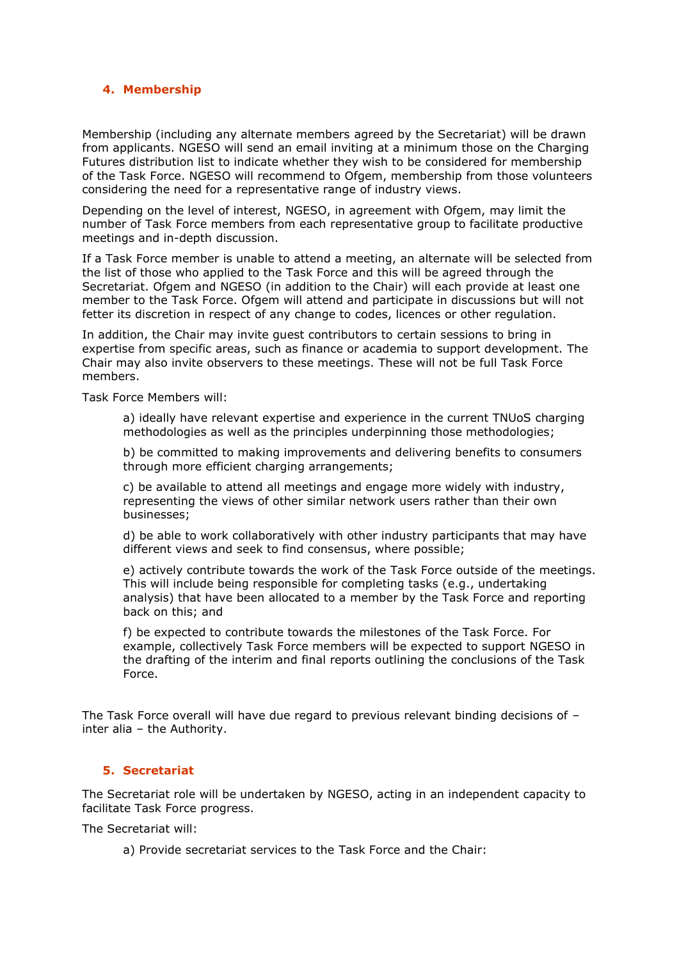#### **4. Membership**

Membership (including any alternate members agreed by the Secretariat) will be drawn from applicants. NGESO will send an email inviting at a minimum those on the Charging Futures distribution list to indicate whether they wish to be considered for membership of the Task Force. NGESO will recommend to Ofgem, membership from those volunteers considering the need for a representative range of industry views.

Depending on the level of interest, NGESO, in agreement with Ofgem, may limit the number of Task Force members from each representative group to facilitate productive meetings and in-depth discussion.

If a Task Force member is unable to attend a meeting, an alternate will be selected from the list of those who applied to the Task Force and this will be agreed through the Secretariat. Ofgem and NGESO (in addition to the Chair) will each provide at least one member to the Task Force. Ofgem will attend and participate in discussions but will not fetter its discretion in respect of any change to codes, licences or other regulation.

In addition, the Chair may invite guest contributors to certain sessions to bring in expertise from specific areas, such as finance or academia to support development. The Chair may also invite observers to these meetings. These will not be full Task Force members.

Task Force Members will:

a) ideally have relevant expertise and experience in the current TNUoS charging methodologies as well as the principles underpinning those methodologies;

b) be committed to making improvements and delivering benefits to consumers through more efficient charging arrangements;

c) be available to attend all meetings and engage more widely with industry, representing the views of other similar network users rather than their own businesses;

d) be able to work collaboratively with other industry participants that may have different views and seek to find consensus, where possible;

e) actively contribute towards the work of the Task Force outside of the meetings. This will include being responsible for completing tasks (e.g., undertaking analysis) that have been allocated to a member by the Task Force and reporting back on this; and

f) be expected to contribute towards the milestones of the Task Force. For example, collectively Task Force members will be expected to support NGESO in the drafting of the interim and final reports outlining the conclusions of the Task Force.

The Task Force overall will have due regard to previous relevant binding decisions of – inter alia – the Authority.

#### **5. Secretariat**

The Secretariat role will be undertaken by NGESO, acting in an independent capacity to facilitate Task Force progress.

The Secretariat will:

a) Provide secretariat services to the Task Force and the Chair: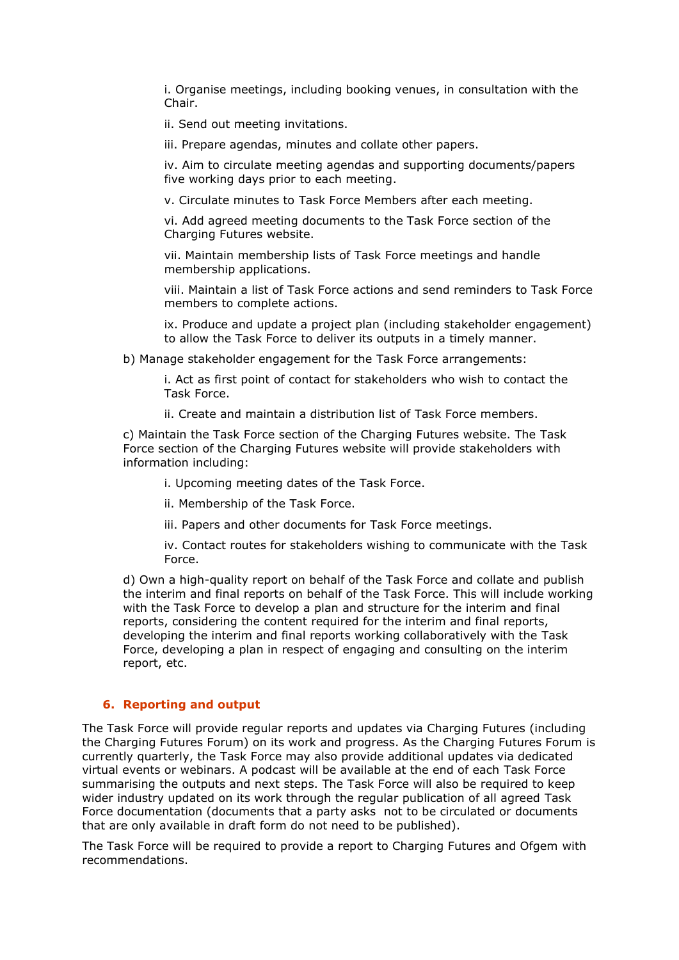i. Organise meetings, including booking venues, in consultation with the Chair.

ii. Send out meeting invitations.

iii. Prepare agendas, minutes and collate other papers.

iv. Aim to circulate meeting agendas and supporting documents/papers five working days prior to each meeting.

v. Circulate minutes to Task Force Members after each meeting.

vi. Add agreed meeting documents to the Task Force section of the Charging Futures website.

vii. Maintain membership lists of Task Force meetings and handle membership applications.

viii. Maintain a list of Task Force actions and send reminders to Task Force members to complete actions.

ix. Produce and update a project plan (including stakeholder engagement) to allow the Task Force to deliver its outputs in a timely manner.

b) Manage stakeholder engagement for the Task Force arrangements:

i. Act as first point of contact for stakeholders who wish to contact the Task Force.

ii. Create and maintain a distribution list of Task Force members.

c) Maintain the Task Force section of the Charging Futures website. The Task Force section of the Charging Futures website will provide stakeholders with information including:

i. Upcoming meeting dates of the Task Force.

ii. Membership of the Task Force.

iii. Papers and other documents for Task Force meetings.

iv. Contact routes for stakeholders wishing to communicate with the Task Force.

d) Own a high-quality report on behalf of the Task Force and collate and publish the interim and final reports on behalf of the Task Force. This will include working with the Task Force to develop a plan and structure for the interim and final reports, considering the content required for the interim and final reports, developing the interim and final reports working collaboratively with the Task Force, developing a plan in respect of engaging and consulting on the interim report, etc.

# **6. Reporting and output**

The Task Force will provide regular reports and updates via Charging Futures (including the Charging Futures Forum) on its work and progress. As the Charging Futures Forum is currently quarterly, the Task Force may also provide additional updates via dedicated virtual events or webinars. A podcast will be available at the end of each Task Force summarising the outputs and next steps. The Task Force will also be required to keep wider industry updated on its work through the regular publication of all agreed Task Force documentation (documents that a party asks not to be circulated or documents that are only available in draft form do not need to be published).

The Task Force will be required to provide a report to Charging Futures and Ofgem with recommendations.